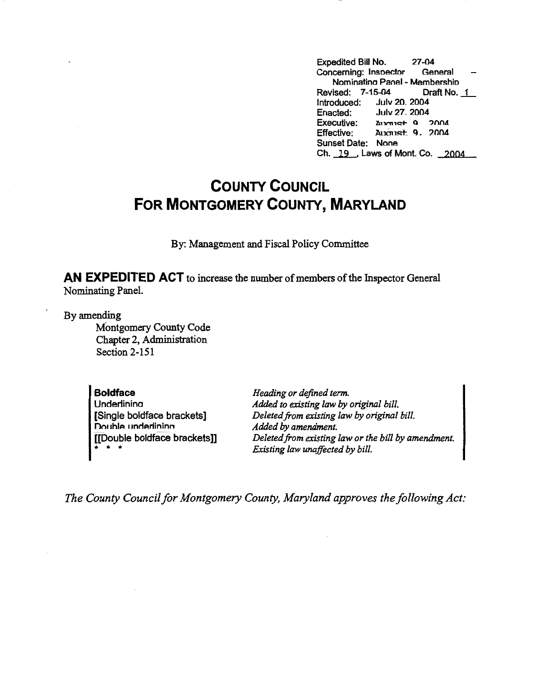Expedited Bill No. 27-04<br>Concerning: Inspector General Concerning: Inspector Nominatina Panel - Membershio Revised: 7-15-04 Draft No. 1 Introduced: July 20, 2004<br>Enacted: July 27, 2004 July 27. 2004 Executive: Annust 9 2004 Effective: August 9, 2004 Sunset Date: None Ch. 19., Laws of Mont. Co. 2004

## **COUNTY COUNCIL FOR MONTGOMERY COUNTY, MARYLAND**

By: Management and Fiscal Policy Committee

**AN EXPEDITED ACT** to increase the number of members of the Inspector General Nominating Panel.

By amending

Montgomery County Code Chapter 2, Administration Section 2-151

**Boldface Underlinina** [Single boldface brackets] **Double underlining** [[Double boldface brackets]] \* \* \*

*Heading or defined term. Added to existing law by original bill. Deleted from existing law by original bill. Added by amendment. Deleted from existing law or the bill by amendment. Existing law unaffected by bill.* 

*The County Council for Montgomery County, Maryland approves the following Act:*